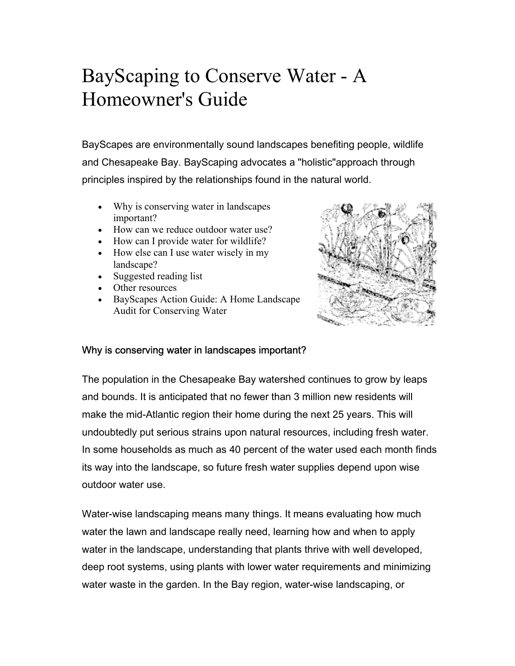# BayScaping to Conserve Water - A Homeowner's Guide

BayScapes are environmentally sound landscapes benefiting people, wildlife and Chesapeake Bay. BayScaping advocates a "holistic"approach through principles inspired by the relationships found in the natural world.

- Why is conserving water in landscapes important?
- How can we reduce outdoor water use?
- How can I provide water for wildlife?
- How else can I use water wisely in my landscape?
- Suggested reading list
- Other resources
- BayScapes Action Guide: A Home Landscape Audit for Conserving Water



### Why is conserving water in landscapes important?

The population in the Chesapeake Bay watershed continues to grow by leaps and bounds. It is anticipated that no fewer than 3 million new residents will make the mid-Atlantic region their home during the next 25 years. This will undoubtedly put serious strains upon natural resources, including fresh water. In some households as much as 40 percent of the water used each month finds its way into the landscape, so future fresh water supplies depend upon wise outdoor water use.

Water-wise landscaping means many things. It means evaluating how much water the lawn and landscape really need, learning how and when to apply water in the landscape, understanding that plants thrive with well developed, deep root systems, using plants with lower water requirements and minimizing water waste in the garden. In the Bay region, water-wise landscaping, or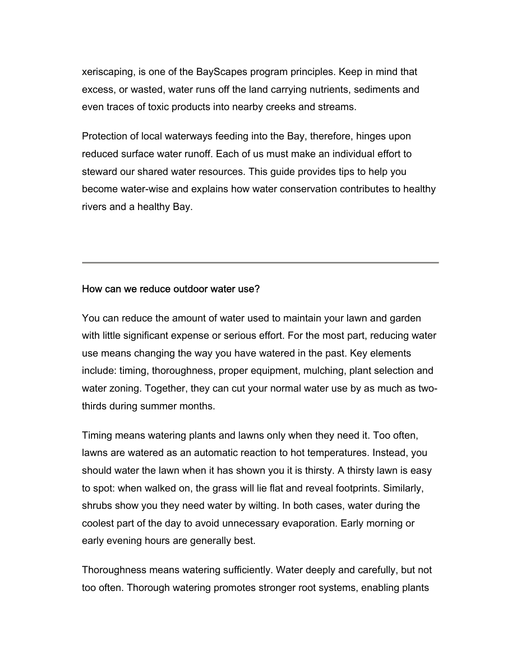xeriscaping, is one of the BayScapes program principles. Keep in mind that excess, or wasted, water runs off the land carrying nutrients, sediments and even traces of toxic products into nearby creeks and streams.

Protection of local waterways feeding into the Bay, therefore, hinges upon reduced surface water runoff. Each of us must make an individual effort to steward our shared water resources. This guide provides tips to help you become water-wise and explains how water conservation contributes to healthy rivers and a healthy Bay.

#### How can we reduce outdoor water use?

You can reduce the amount of water used to maintain your lawn and garden with little significant expense or serious effort. For the most part, reducing water use means changing the way you have watered in the past. Key elements include: timing, thoroughness, proper equipment, mulching, plant selection and water zoning. Together, they can cut your normal water use by as much as twothirds during summer months.

Timing means watering plants and lawns only when they need it. Too often, lawns are watered as an automatic reaction to hot temperatures. Instead, you should water the lawn when it has shown you it is thirsty. A thirsty lawn is easy to spot: when walked on, the grass will lie flat and reveal footprints. Similarly, shrubs show you they need water by wilting. In both cases, water during the coolest part of the day to avoid unnecessary evaporation. Early morning or early evening hours are generally best.

Thoroughness means watering sufficiently. Water deeply and carefully, but not too often. Thorough watering promotes stronger root systems, enabling plants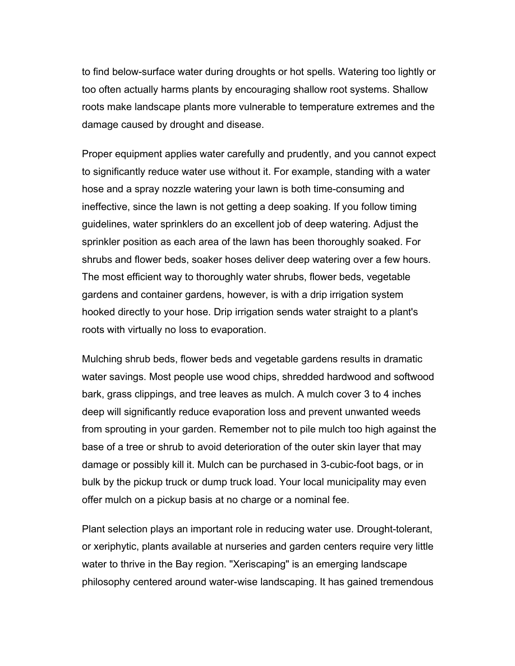to find below-surface water during droughts or hot spells. Watering too lightly or too often actually harms plants by encouraging shallow root systems. Shallow roots make landscape plants more vulnerable to temperature extremes and the damage caused by drought and disease.

Proper equipment applies water carefully and prudently, and you cannot expect to significantly reduce water use without it. For example, standing with a water hose and a spray nozzle watering your lawn is both time-consuming and ineffective, since the lawn is not getting a deep soaking. If you follow timing guidelines, water sprinklers do an excellent job of deep watering. Adjust the sprinkler position as each area of the lawn has been thoroughly soaked. For shrubs and flower beds, soaker hoses deliver deep watering over a few hours. The most efficient way to thoroughly water shrubs, flower beds, vegetable gardens and container gardens, however, is with a drip irrigation system hooked directly to your hose. Drip irrigation sends water straight to a plant's roots with virtually no loss to evaporation.

Mulching shrub beds, flower beds and vegetable gardens results in dramatic water savings. Most people use wood chips, shredded hardwood and softwood bark, grass clippings, and tree leaves as mulch. A mulch cover 3 to 4 inches deep will significantly reduce evaporation loss and prevent unwanted weeds from sprouting in your garden. Remember not to pile mulch too high against the base of a tree or shrub to avoid deterioration of the outer skin layer that may damage or possibly kill it. Mulch can be purchased in 3-cubic-foot bags, or in bulk by the pickup truck or dump truck load. Your local municipality may even offer mulch on a pickup basis at no charge or a nominal fee.

Plant selection plays an important role in reducing water use. Drought-tolerant, or xeriphytic, plants available at nurseries and garden centers require very little water to thrive in the Bay region. "Xeriscaping" is an emerging landscape philosophy centered around water-wise landscaping. It has gained tremendous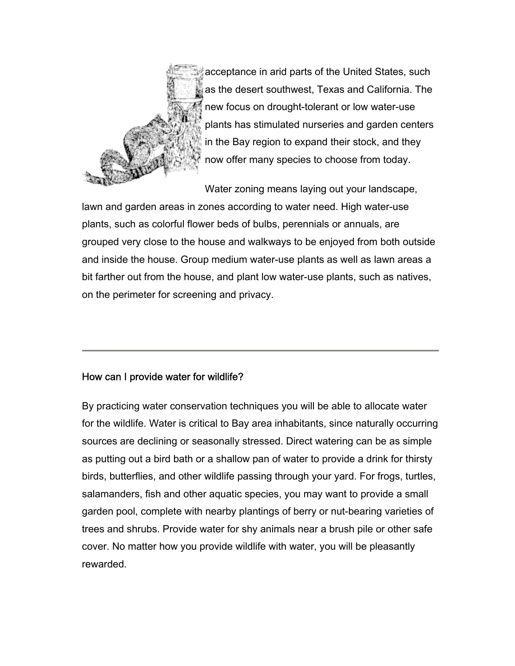

acceptance in arid parts of the United States, such as the desert southwest, Texas and California. The new focus on drought-tolerant or low water-use plants has stimulated nurseries and garden centers in the Bay region to expand their stock, and they now offer many species to choose from today.

Water zoning means laying out your landscape, lawn and garden areas in zones according to water need. High water-use plants, such as colorful flower beds of bulbs, perennials or annuals, are grouped very close to the house and walkways to be enjoyed from both outside and inside the house. Group medium water-use plants as well as lawn areas a bit farther out from the house, and plant low water-use plants, such as natives, on the perimeter for screening and privacy.

### How can I provide water for wildlife?

By practicing water conservation techniques you will be able to allocate water for the wildlife. Water is critical to Bay area inhabitants, since naturally occurring sources are declining or seasonally stressed. Direct watering can be as simple as putting out a bird bath or a shallow pan of water to provide a drink for thirsty birds, butterflies, and other wildlife passing through your yard. For frogs, turtles, salamanders, fish and other aquatic species, you may want to provide a small garden pool, complete with nearby plantings of berry or nut-bearing varieties of trees and shrubs. Provide water for shy animals near a brush pile or other safe cover. No matter how you provide wildlife with water, you will be pleasantly rewarded.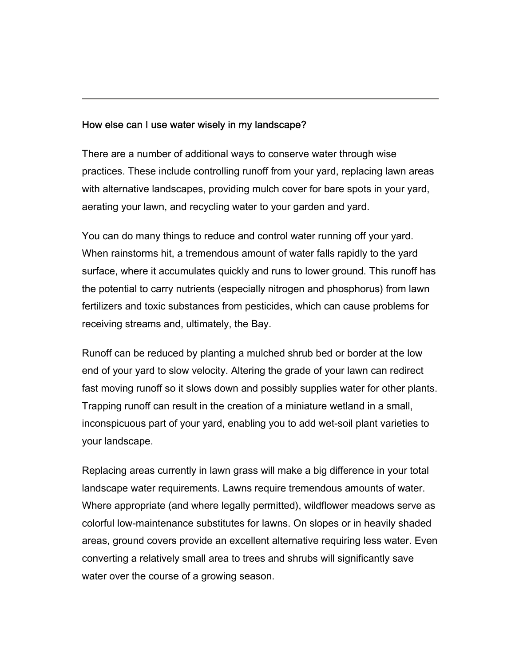### How else can I use water wisely in my landscape?

There are a number of additional ways to conserve water through wise practices. These include controlling runoff from your yard, replacing lawn areas with alternative landscapes, providing mulch cover for bare spots in your yard, aerating your lawn, and recycling water to your garden and yard.

You can do many things to reduce and control water running off your yard. When rainstorms hit, a tremendous amount of water falls rapidly to the yard surface, where it accumulates quickly and runs to lower ground. This runoff has the potential to carry nutrients (especially nitrogen and phosphorus) from lawn fertilizers and toxic substances from pesticides, which can cause problems for receiving streams and, ultimately, the Bay.

Runoff can be reduced by planting a mulched shrub bed or border at the low end of your yard to slow velocity. Altering the grade of your lawn can redirect fast moving runoff so it slows down and possibly supplies water for other plants. Trapping runoff can result in the creation of a miniature wetland in a small, inconspicuous part of your yard, enabling you to add wet-soil plant varieties to your landscape.

Replacing areas currently in lawn grass will make a big difference in your total landscape water requirements. Lawns require tremendous amounts of water. Where appropriate (and where legally permitted), wildflower meadows serve as colorful low-maintenance substitutes for lawns. On slopes or in heavily shaded areas, ground covers provide an excellent alternative requiring less water. Even converting a relatively small area to trees and shrubs will significantly save water over the course of a growing season.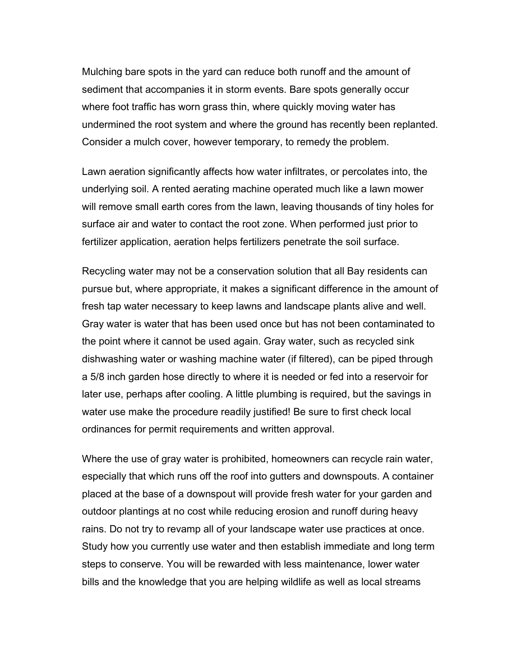Mulching bare spots in the yard can reduce both runoff and the amount of sediment that accompanies it in storm events. Bare spots generally occur where foot traffic has worn grass thin, where quickly moving water has undermined the root system and where the ground has recently been replanted. Consider a mulch cover, however temporary, to remedy the problem.

Lawn aeration significantly affects how water infiltrates, or percolates into, the underlying soil. A rented aerating machine operated much like a lawn mower will remove small earth cores from the lawn, leaving thousands of tiny holes for surface air and water to contact the root zone. When performed just prior to fertilizer application, aeration helps fertilizers penetrate the soil surface.

Recycling water may not be a conservation solution that all Bay residents can pursue but, where appropriate, it makes a significant difference in the amount of fresh tap water necessary to keep lawns and landscape plants alive and well. Gray water is water that has been used once but has not been contaminated to the point where it cannot be used again. Gray water, such as recycled sink dishwashing water or washing machine water (if filtered), can be piped through a 5/8 inch garden hose directly to where it is needed or fed into a reservoir for later use, perhaps after cooling. A little plumbing is required, but the savings in water use make the procedure readily justified! Be sure to first check local ordinances for permit requirements and written approval.

Where the use of gray water is prohibited, homeowners can recycle rain water, especially that which runs off the roof into gutters and downspouts. A container placed at the base of a downspout will provide fresh water for your garden and outdoor plantings at no cost while reducing erosion and runoff during heavy rains. Do not try to revamp all of your landscape water use practices at once. Study how you currently use water and then establish immediate and long term steps to conserve. You will be rewarded with less maintenance, lower water bills and the knowledge that you are helping wildlife as well as local streams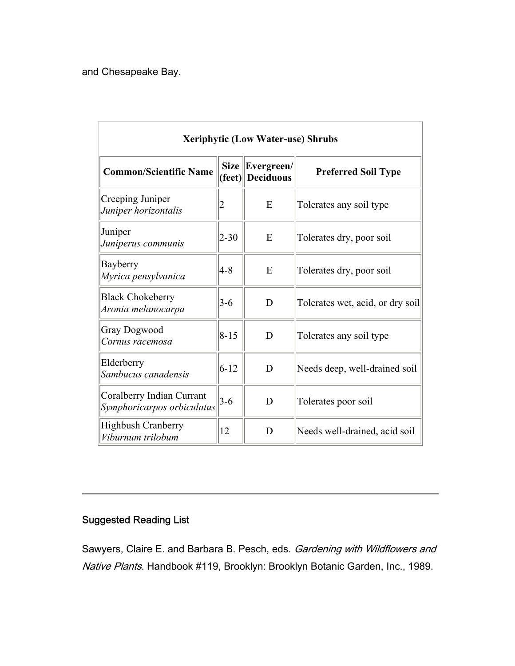and Chesapeake Bay.

| <b>Xeriphytic (Low Water-use) Shrubs</b>                |             |                                |                                  |
|---------------------------------------------------------|-------------|--------------------------------|----------------------------------|
| <b>Common/Scientific Name</b>                           | <b>Size</b> | Evergreen/<br>(feet) Deciduous | <b>Preferred Soil Type</b>       |
| Creeping Juniper<br>Juniper horizontalis                | 2           | E                              | Tolerates any soil type          |
| Juniper<br>Juniperus communis                           | $2 - 30$    | E                              | Tolerates dry, poor soil         |
| Bayberry<br>Myrica pensylvanica                         | $4 - 8$     | E                              | Tolerates dry, poor soil         |
| <b>Black Chokeberry</b><br>Aronia melanocarpa           | $3-6$       | D                              | Tolerates wet, acid, or dry soil |
| <b>Gray Dogwood</b><br>Cornus racemosa                  | $8 - 15$    | D                              | Tolerates any soil type          |
| Elderberry<br>Sambucus canadensis                       | $6 - 12$    | D                              | Needs deep, well-drained soil    |
| Coralberry Indian Currant<br>Symphoricarpos orbiculatus | $3-6$       | D                              | Tolerates poor soil              |
| <b>Highbush Cranberry</b><br>Viburnum trilobum          | 12          | D                              | Needs well-drained, acid soil    |

## Suggested Reading List

Sawyers, Claire E. and Barbara B. Pesch, eds. Gardening with Wildflowers and Native Plants. Handbook #119, Brooklyn: Brooklyn Botanic Garden, Inc., 1989.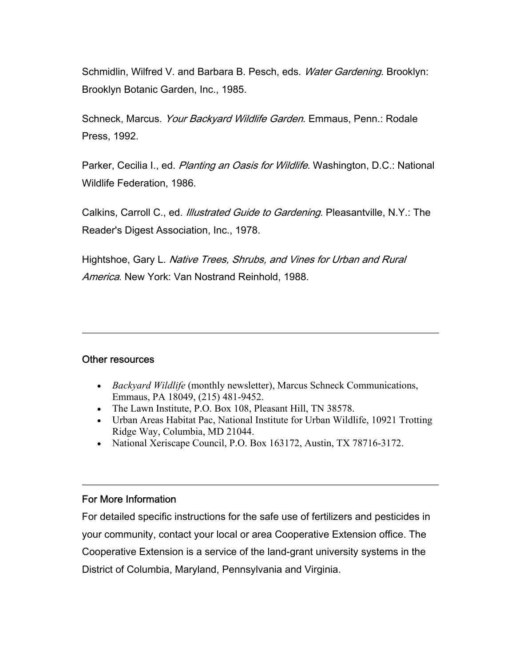Schmidlin, Wilfred V. and Barbara B. Pesch, eds. Water Gardening. Brooklyn: Brooklyn Botanic Garden, Inc., 1985.

Schneck, Marcus. Your Backyard Wildlife Garden. Emmaus, Penn.: Rodale Press, 1992.

Parker, Cecilia I., ed. Planting an Oasis for Wildlife. Washington, D.C.: National Wildlife Federation, 1986.

Calkins, Carroll C., ed. *Illustrated Guide to Gardening*. Pleasantville, N.Y.: The Reader's Digest Association, Inc., 1978.

Hightshoe, Gary L. Native Trees, Shrubs, and Vines for Urban and Rural America. New York: Van Nostrand Reinhold, 1988.

#### Other resources

- *Backyard Wildlife* (monthly newsletter), Marcus Schneck Communications, Emmaus, PA 18049, (215) 481-9452.
- The Lawn Institute, P.O. Box 108, Pleasant Hill, TN 38578.
- Urban Areas Habitat Pac, National Institute for Urban Wildlife, 10921 Trotting Ridge Way, Columbia, MD 21044.
- National Xeriscape Council, P.O. Box 163172, Austin, TX 78716-3172.

### For More Information

For detailed specific instructions for the safe use of fertilizers and pesticides in your community, contact your local or area Cooperative Extension office. The Cooperative Extension is a service of the land-grant university systems in the District of Columbia, Maryland, Pennsylvania and Virginia.